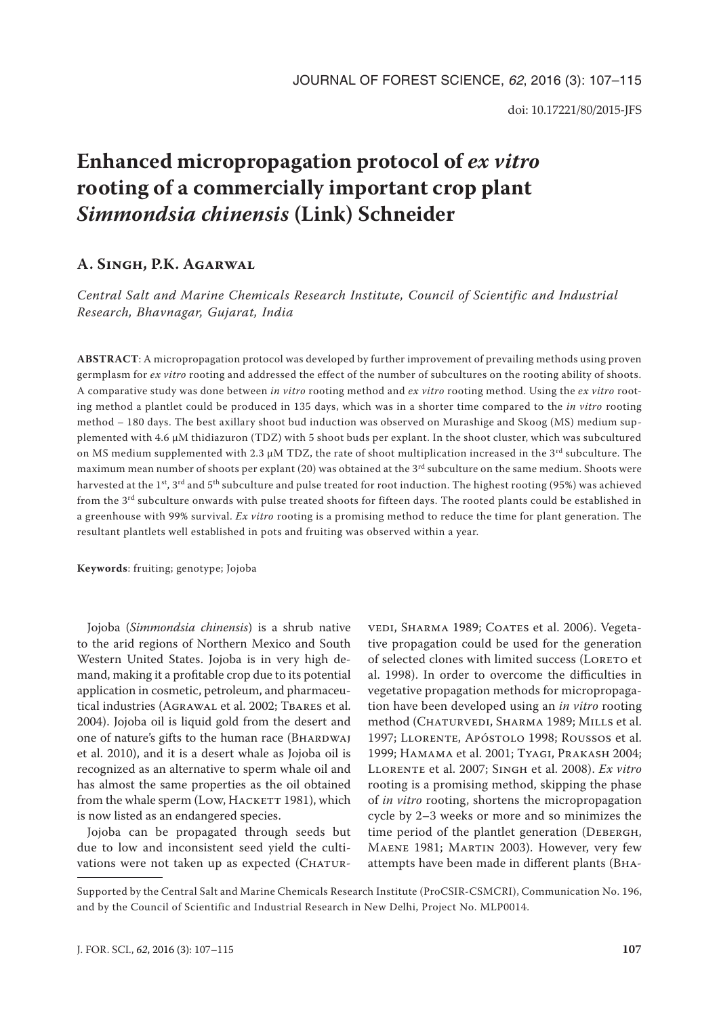# **Enhanced micropropagation protocol of** *ex vitro*  **rooting of a commercially important crop plant**  *Simmondsia chinensis* **(Link) Schneider**

# **A. Singh, P.K. Agarwal**

*Central Salt and Marine Chemicals Research Institute, Council of Scientific and Industrial Research, Bhavnagar, Gujarat, India*

**ABSTRACT**: A micropropagation protocol was developed by further improvement of prevailing methods using proven germplasm for *ex vitro* rooting and addressed the effect of the number of subcultures on the rooting ability of shoots. A comparative study was done between *in vitro* rooting method and *ex vitro* rooting method. Using the *ex vitro* rooting method a plantlet could be produced in 135 days, which was in a shorter time compared to the *in vitro* rooting method – 180 days. The best axillary shoot bud induction was observed on Murashige and Skoog (MS) medium supplemented with 4.6 µM thidiazuron (TDZ) with 5 shoot buds per explant. In the shoot cluster, which was subcultured on MS medium supplemented with 2.3  $\mu$ M TDZ, the rate of shoot multiplication increased in the 3<sup>rd</sup> subculture. The maximum mean number of shoots per explant (20) was obtained at the 3<sup>rd</sup> subculture on the same medium. Shoots were harvested at the 1<sup>st</sup>, 3<sup>rd</sup> and 5<sup>th</sup> subculture and pulse treated for root induction. The highest rooting (95%) was achieved from the 3rd subculture onwards with pulse treated shoots for fifteen days. The rooted plants could be established in a greenhouse with 99% survival. *Ex vitro* rooting is a promising method to reduce the time for plant generation. The resultant plantlets well established in pots and fruiting was observed within a year.

**Keywords**: fruiting; genotype; Jojoba

Jojoba (*Simmondsia chinensis*) is a shrub native to the arid regions of Northern Mexico and South Western United States. Jojoba is in very high demand, making it a profitable crop due to its potential application in cosmetic, petroleum, and pharmaceutical industries (AGRAWAL et al. 2002; TBARES et al. 2004). Jojoba oil is liquid gold from the desert and one of nature's gifts to the human race (BHARDWAJ et al. 2010), and it is a desert whale as Jojoba oil is recognized as an alternative to sperm whale oil and has almost the same properties as the oil obtained from the whale sperm (Low, HACKETT 1981), which is now listed as an endangered species.

Jojoba can be propagated through seeds but due to low and inconsistent seed yield the cultivations were not taken up as expected (CHATUR-

vedi, Sharma 1989; Coates et al. 2006). Vegetative propagation could be used for the generation of selected clones with limited success (LORETO et al. 1998). In order to overcome the difficulties in vegetative propagation methods for micropropagation have been developed using an *in vitro* rooting method (CHATURVEDI, SHARMA 1989; MILLS et al. 1997; Llorente, Apóstolo 1998; Roussos et al. 1999; Hamama et al. 2001; Tyagi, Prakash 2004; Llorente et al. 2007; Singh et al. 2008). *Ex vitro*  rooting is a promising method, skipping the phase of *in vitro* rooting, shortens the micropropagation cycle by 2–3 weeks or more and so minimizes the time period of the plantlet generation (DEBERGH, Maene 1981; Martin 2003). However, very few attempts have been made in different plants (Bha-

Supported by the Central Salt and Marine Chemicals Research Institute (ProCSIR-CSMCRI), Communication No. 196, and by the Council of Scientific and Industrial Research in New Delhi, Project No. MLP0014.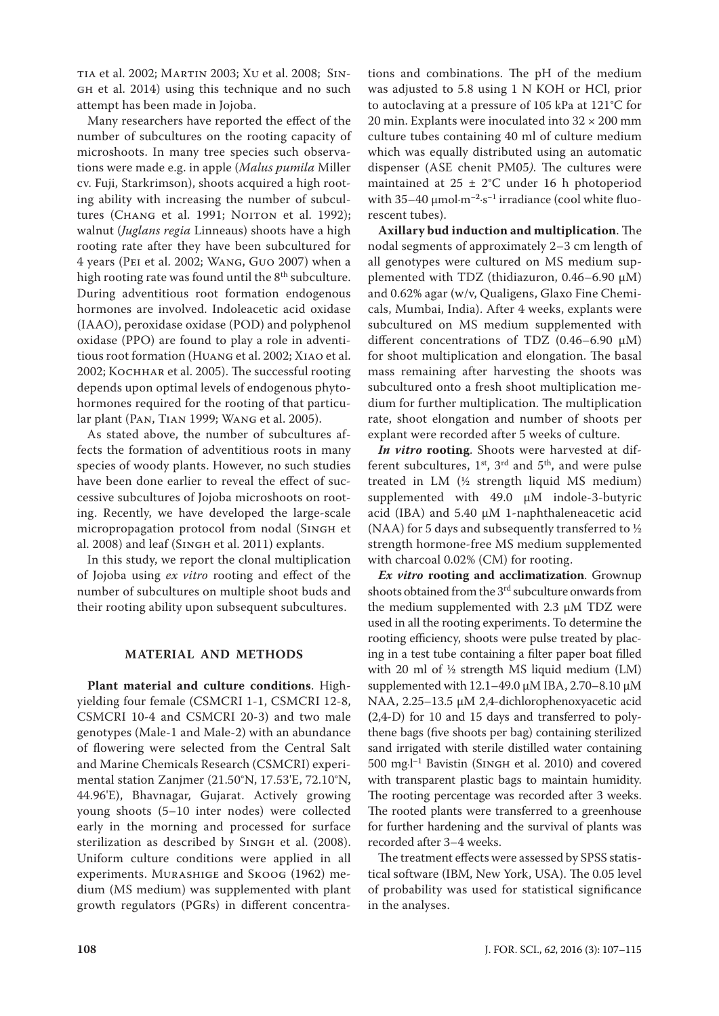tia et al. 2002; Martin 2003; Xu et al. 2008; Singh et al. 2014) using this technique and no such attempt has been made in Jojoba.

Many researchers have reported the effect of the number of subcultures on the rooting capacity of microshoots. In many tree species such observations were made e.g. in apple (*Malus pumila* Miller cv. Fuji, Starkrimson), shoots acquired a high rooting ability with increasing the number of subcultures (CHANG et al. 1991; NOITON et al. 1992); walnut (*Juglans regia* Linneaus) shoots have a high rooting rate after they have been subcultured for 4 years (Pei et al. 2002; Wang, Guo 2007) when a high rooting rate was found until the  $8<sup>th</sup>$  subculture. During adventitious root formation endogenous hormones are involved. Indoleacetic acid oxidase (IAAO), peroxidase oxidase (POD) and polyphenol oxidase (PPO) are found to play a role in adventitious root formation (Huang et al. 2002; Xiao et al. 2002; Kochhar et al. 2005). The successful rooting depends upon optimal levels of endogenous phytohormones required for the rooting of that particular plant (Pan, Tian 1999; Wang et al. 2005).

As stated above, the number of subcultures affects the formation of adventitious roots in many species of woody plants. However, no such studies have been done earlier to reveal the effect of successive subcultures of Jojoba microshoots on rooting. Recently, we have developed the large-scale micropropagation protocol from nodal (Singh et al. 2008) and leaf (SINGH et al. 2011) explants.

In this study, we report the clonal multiplication of Jojoba using *ex vitro* rooting and effect of the number of subcultures on multiple shoot buds and their rooting ability upon subsequent subcultures.

# **MATERIAL AND METHODS**

**Plant material and culture conditions**. Highyielding four female (CSMCRI 1-1, CSMCRI 12-8, CSMCRI 10-4 and CSMCRI 20-3) and two male genotypes (Male-1 and Male-2) with an abundance of flowering were selected from the Central Salt and Marine Chemicals Research (CSMCRI) experimental station Zanjmer (21.50°N, 17.53'E, 72.10°N, 44.96'E), Bhavnagar, Gujarat. Actively growing young shoots (5–10 inter nodes) were collected early in the morning and processed for surface sterilization as described by SINGH et al. (2008). Uniform culture conditions were applied in all experiments. Murashige and Skoog (1962) medium (MS medium) was supplemented with plant growth regulators (PGRs) in different concentra-

tions and combinations. The pH of the medium was adjusted to 5.8 using 1 N KOH or HCl, prior to autoclaving at a pressure of 105 kPa at 121°C for 20 min. Explants were inoculated into  $32 \times 200$  mm culture tubes containing 40 ml of culture medium which was equally distributed using an automatic dispenser (ASE chenit PM05*)*. The cultures were maintained at  $25 \pm 2$ °C under 16 h photoperiod with 35–40 µmol·m–**<sup>2</sup>**·s–1 irradiance (cool white fluorescent tubes).

**Axillary bud induction and multiplication**. The nodal segments of approximately 2–3 cm length of all genotypes were cultured on MS medium supplemented with TDZ (thidiazuron, 0.46–6.90 µM) and 0.62% agar (w/v, Qualigens, Glaxo Fine Chemicals, Mumbai, India). After 4 weeks, explants were subcultured on MS medium supplemented with different concentrations of TDZ  $(0.46-6.90 \mu M)$ for shoot multiplication and elongation. The basal mass remaining after harvesting the shoots was subcultured onto a fresh shoot multiplication medium for further multiplication. The multiplication rate, shoot elongation and number of shoots per explant were recorded after 5 weeks of culture.

*In vitro* **rooting**. Shoots were harvested at different subcultures,  $1^{st}$ ,  $3^{rd}$  and  $5^{th}$ , and were pulse treated in LM (½ strength liquid MS medium) supplemented with 49.0  $\mu$ M indole-3-butyric acid (IBA) and 5.40 µM 1-naphthaleneacetic acid (NAA) for 5 days and subsequently transferred to  $\frac{1}{2}$ strength hormone-free MS medium supplemented with charcoal 0.02% (CM) for rooting.

*Ex vitro* **rooting and acclimatization**. Grownup shoots obtained from the 3<sup>rd</sup> subculture onwards from the medium supplemented with 2.3  $\mu$ M TDZ were used in all the rooting experiments. To determine the rooting efficiency, shoots were pulse treated by placing in a test tube containing a filter paper boat filled with 20 ml of ½ strength MS liquid medium (LM) supplemented with 12.1–49.0 μM IBA, 2.70–8.10 μM NAA, 2.25–13.5 µM 2,4-dichlorophenoxyacetic acid **(**2,4-D) for 10 and 15 days and transferred to polythene bags (five shoots per bag) containing sterilized sand irrigated with sterile distilled water containing 500 mg·l –1 Bavistin (Singh et al. 2010) and covered with transparent plastic bags to maintain humidity. The rooting percentage was recorded after 3 weeks. The rooted plants were transferred to a greenhouse for further hardening and the survival of plants was recorded after 3–4 weeks.

The treatment effects were assessed by SPSS statistical software (IBM, New York, USA). The 0.05 level of probability was used for statistical significance in the analyses.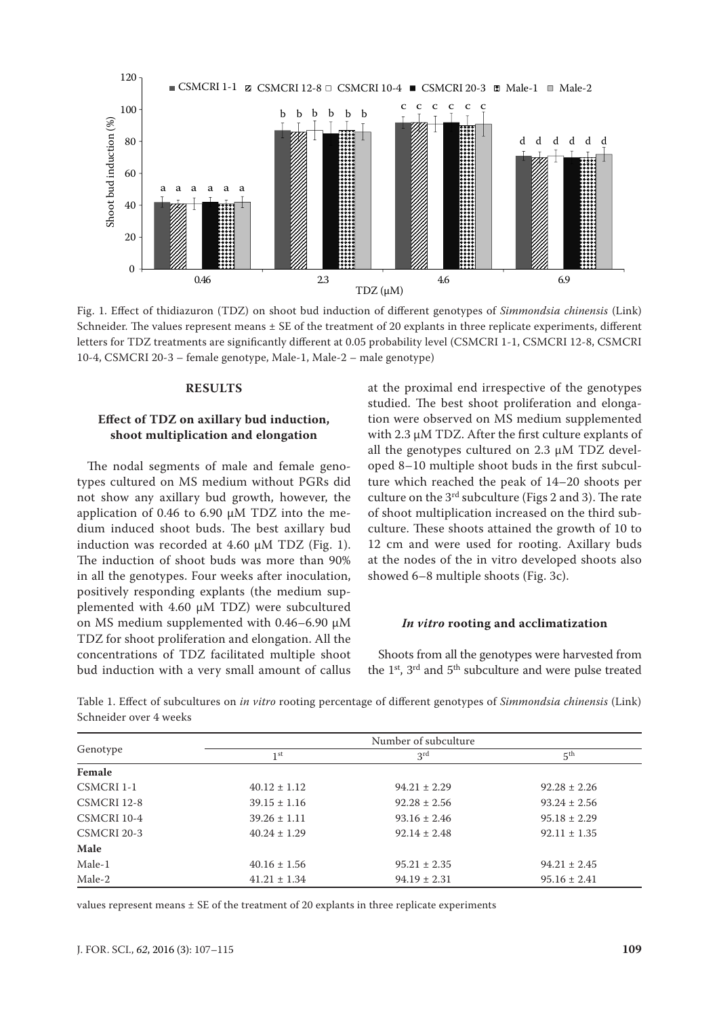

Fig. 1. Effect of thidiazuron (TDZ) on shoot bud induction of different genotypes of *Simmondsia chinensis* (Link) Schneider. The values represent means  $\pm$  SE of the treatment of 20 explants in three replicate experiments, different letters for TDZ treatments are significantly different at 0.05 probability level (CSMCRI 1-1, CSMCRI 12-8, CSMCRI 10-4, CSMCRI 20-3 – female genotype, Male-1, Male-2 – male genotype)

#### **RESULTS**

### **Effect of TDZ on axillary bud induction, shoot multiplication and elongation**

The nodal segments of male and female genotypes cultured on MS medium without PGRs did not show any axillary bud growth, however, the application of 0.46 to 6.90 µM TDZ into the medium induced shoot buds. The best axillary bud induction was recorded at 4.60  $\mu$ M TDZ (Fig. 1). The induction of shoot buds was more than 90% in all the genotypes. Four weeks after inoculation, positively responding explants (the medium supplemented with 4.60 µM TDZ) were subcultured on MS medium supplemented with 0.46–6.90 µM TDZ for shoot proliferation and elongation. All the concentrations of TDZ facilitated multiple shoot bud induction with a very small amount of callus at the proximal end irrespective of the genotypes studied. The best shoot proliferation and elongation were observed on MS medium supplemented with 2.3 µM TDZ. After the first culture explants of all the genotypes cultured on 2.3 µM TDZ developed 8–10 multiple shoot buds in the first subculture which reached the peak of 14–20 shoots per culture on the  $3<sup>rd</sup>$  subculture (Figs 2 and 3). The rate of shoot multiplication increased on the third subculture. These shoots attained the growth of 10 to 12 cm and were used for rooting. Axillary buds at the nodes of the in vitro developed shoots also showed 6–8 multiple shoots (Fig. 3c).

#### *In vitro* **rooting and acclimatization**

Shoots from all the genotypes were harvested from the  $1<sup>st</sup>$ ,  $3<sup>rd</sup>$  and  $5<sup>th</sup>$  subculture and were pulse treated

|             |                  | Number of subculture |                  |
|-------------|------------------|----------------------|------------------|
| Genotype    | 1 <sup>st</sup>  | 3 <sup>rd</sup>      | 5 <sup>th</sup>  |
| Female      |                  |                      |                  |
| CSMCRI 1-1  | $40.12 \pm 1.12$ | $94.21 \pm 2.29$     | $92.28 \pm 2.26$ |
| CSMCRI 12-8 | $39.15 \pm 1.16$ | $92.28 \pm 2.56$     | $93.24 \pm 2.56$ |
| CSMCRI 10-4 | $39.26 \pm 1.11$ | $93.16 \pm 2.46$     | $95.18 \pm 2.29$ |
| CSMCRI 20-3 | $40.24 \pm 1.29$ | $92.14 \pm 2.48$     | $92.11 \pm 1.35$ |
| Male        |                  |                      |                  |
| Male-1      | $40.16 \pm 1.56$ | $95.21 \pm 2.35$     | $94.21 \pm 2.45$ |
| Male-2      | $41.21 \pm 1.34$ | $94.19 \pm 2.31$     | $95.16 \pm 2.41$ |

Table 1. Effect of subcultures on *in vitro* rooting percentage of different genotypes of *Simmondsia chinensis* (Link) Schneider over 4 weeks

values represent means  $\pm$  SE of the treatment of 20 explants in three replicate experiments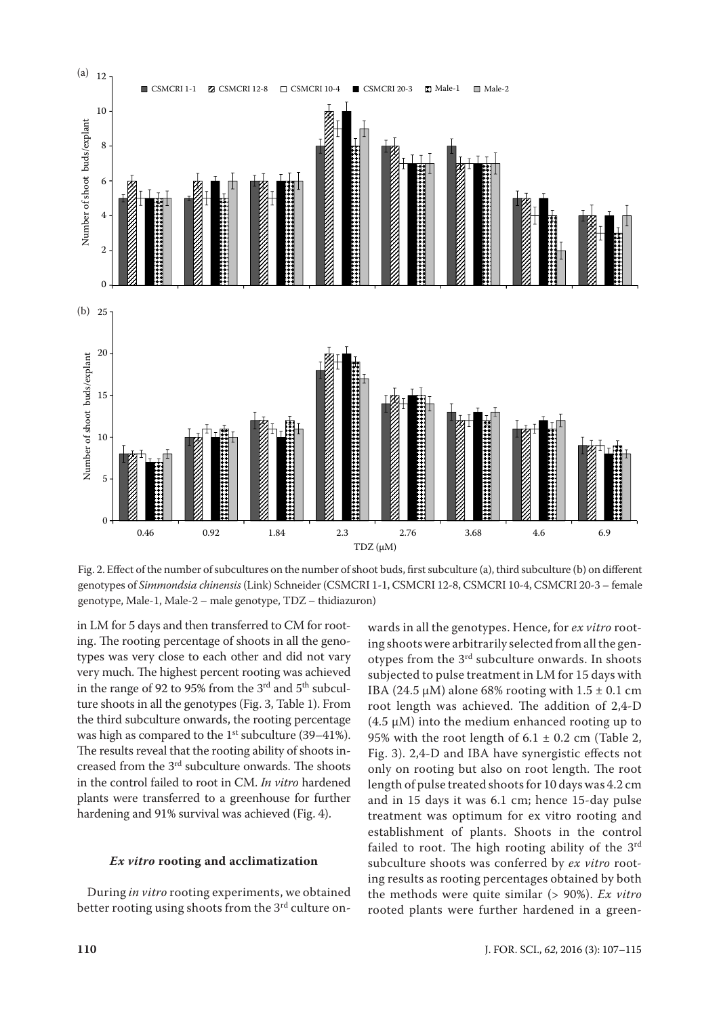

Fig. 2. Effect of the number of subcultures on the number of shoot buds, first subculture (a), third subculture (b) on different genotypes of *Simmondsia chinensis* (Link) Schneider (CSMCRI 1-1, CSMCRI 12-8, CSMCRI 10-4, CSMCRI 20-3 – female genotype, Male-1, Male-2 – male genotype, TDZ – thidiazuron)

in LM for 5 days and then transferred to CM for rooting. The rooting percentage of shoots in all the genotypes was very close to each other and did not vary very much. The highest percent rooting was achieved in the range of 92 to 95% from the 3<sup>rd</sup> and 5<sup>th</sup> subculture shoots in all the genotypes (Fig. 3, Table 1). From the third subculture onwards, the rooting percentage was high as compared to the  $1<sup>st</sup>$  subculture (39–41%). The results reveal that the rooting ability of shoots increased from the 3rd subculture onwards. The shoots in the control failed to root in CM. *In vitro* hardened plants were transferred to a greenhouse for further hardening and 91% survival was achieved (Fig. 4).

#### *Ex vitro* **rooting and acclimatization**

During *in vitro* rooting experiments, we obtained better rooting using shoots from the 3<sup>rd</sup> culture on-

wards in all the genotypes. Hence, for *ex vitro* rooting shoots were arbitrarily selected from all the genotypes from the 3rd subculture onwards. In shoots subjected to pulse treatment in LM for 15 days with IBA (24.5  $\mu$ M) alone 68% rooting with 1.5  $\pm$  0.1 cm root length was achieved. The addition of 2,4-D  $(4.5 \mu M)$  into the medium enhanced rooting up to 95% with the root length of  $6.1 \pm 0.2$  cm (Table 2, Fig. 3). 2,4-D and IBA have synergistic effects not only on rooting but also on root length. The root length of pulse treated shoots for 10 days was 4.2 cm and in 15 days it was 6.1 cm; hence 15-day pulse treatment was optimum for ex vitro rooting and establishment of plants. Shoots in the control failed to root. The high rooting ability of the 3rd subculture shoots was conferred by *ex vitro* rooting results as rooting percentages obtained by both the methods were quite similar (> 90%). *Ex vitro* rooted plants were further hardened in a green-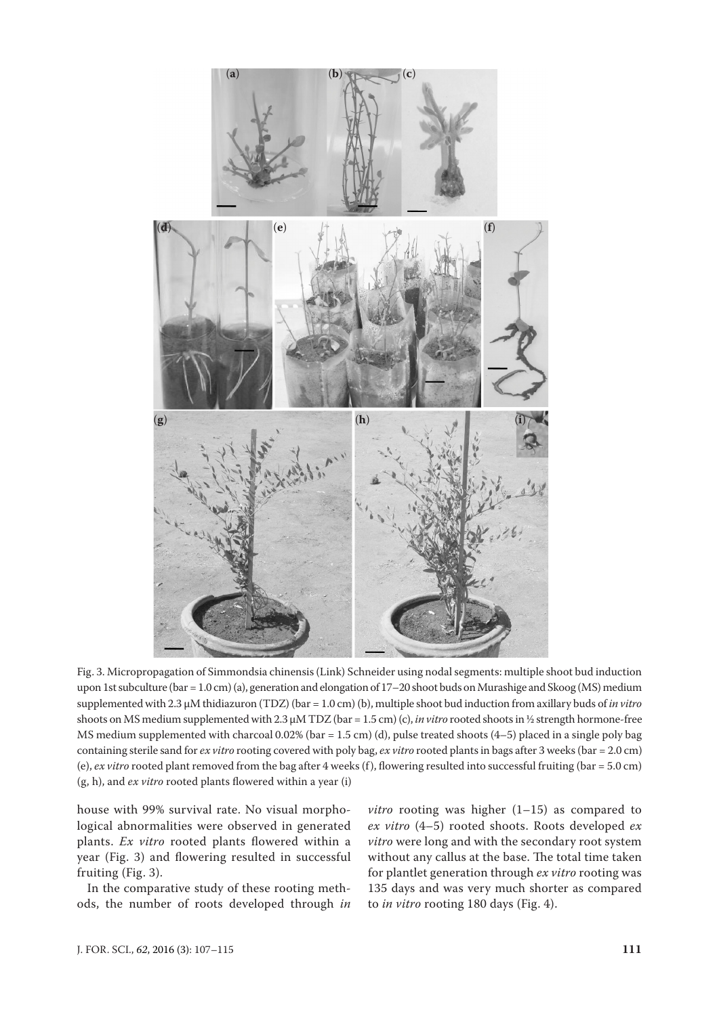

Fig. 3. Micropropagation of Simmondsia chinensis (Link) Schneider using nodal segments: multiple shoot bud induction upon 1st subculture (bar = 1.0 cm) (a), generation and elongation of 17–20 shoot buds on Murashige and Skoog (MS) medium supplemented with 2.3 µM thidiazuron (TDZ) (bar = 1.0 cm) (b), multiple shoot bud induction from axillary buds of *in vitro*  shoots on MS medium supplemented with 2.3 µM TDZ (bar = 1.5 cm) (c), *in vitro* rooted shoots in ½ strength hormone-free MS medium supplemented with charcoal 0.02% (bar = 1.5 cm) (d), pulse treated shoots  $(4-5)$  placed in a single poly bag containing sterile sand for *ex vitro* rooting covered with poly bag, *ex vitro* rooted plants in bags after 3 weeks (bar = 2.0 cm) (e), *ex vitro* rooted plant removed from the bag after 4 weeks (f), flowering resulted into successful fruiting (bar = 5.0 cm) (g, h), and *ex vitro* rooted plants flowered within a year (i)

house with 99% survival rate. No visual morphological abnormalities were observed in generated plants. *Ex vitro* rooted plants flowered within a year (Fig. 3) and flowering resulted in successful fruiting (Fig. 3).

In the comparative study of these rooting methods, the number of roots developed through *in* 

*vitro* rooting was higher (1–15) as compared to *ex vitro* (4–5) rooted shoots. Roots developed *ex vitro* were long and with the secondary root system without any callus at the base. The total time taken for plantlet generation through *ex vitro* rooting was 135 days and was very much shorter as compared to *in vitro* rooting 180 days (Fig. 4).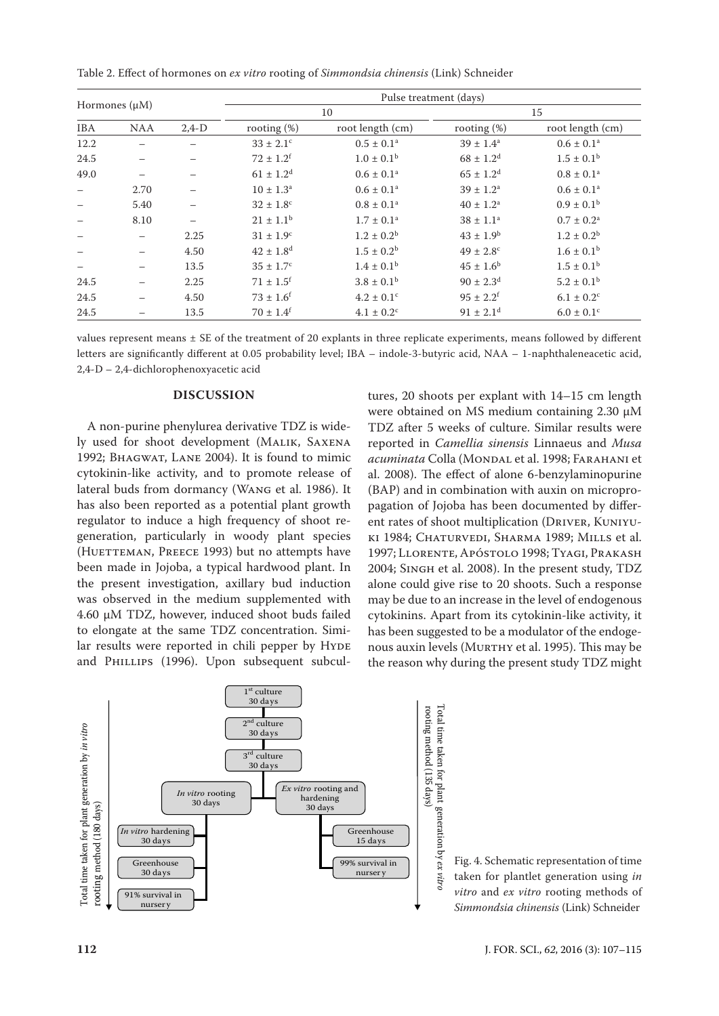Table 2. Effect of hormones on *ex vitro* rooting of *Simmondsia chinensis* (Link) Schneider

| Hormones $(\mu M)$ |            | Pulse treatment (days) |                           |                            |                           |                            |
|--------------------|------------|------------------------|---------------------------|----------------------------|---------------------------|----------------------------|
|                    |            | 10                     |                           | 15                         |                           |                            |
| <b>IBA</b>         | <b>NAA</b> | $2,4-D$                | rooting $(\%)$            | root length (cm)           | rooting $(\%)$            | root length (cm)           |
| 12.2               |            |                        | $33 \pm 2.1$ <sup>c</sup> | $0.5 \pm 0.1^a$            | $39 \pm 1.4^a$            | $0.6 \pm 0.1^a$            |
| 24.5               |            |                        | $72 \pm 1.2^f$            | $1.0 \pm 0.1^{\rm b}$      | $68 \pm 1.2^d$            | $1.5 \pm 0.1^{\rm b}$      |
| 49.0               |            |                        | $61 \pm 1.2$ <sup>d</sup> | $0.6 \pm 0.1^a$            | $65 \pm 1.2$ <sup>d</sup> | $0.8 \pm 0.1^a$            |
|                    | 2.70       |                        | $10 \pm 1.3^{\text{a}}$   | $0.6 \pm 0.1^a$            | $39 \pm 1.2^a$            | $0.6 \pm 0.1^a$            |
|                    | 5.40       |                        | $32 \pm 1.8$ <sup>c</sup> | $0.8 \pm 0.1^a$            | $40 \pm 1.2^a$            | $0.9 \pm 0.1^{\rm b}$      |
|                    | 8.10       |                        | $21 \pm 1.1^b$            | $1.7 \pm 0.1^a$            | $38 \pm 1.1^{\rm a}$      | $0.7 \pm 0.2^{\text{a}}$   |
|                    |            | 2.25                   | $31 \pm 1.9^{\circ}$      | $1.2 \pm 0.2^b$            | $43 \pm 1.9^{\rm b}$      | $1.2 \pm 0.2^{\rm b}$      |
|                    |            | 4.50                   | $42 \pm 1.8$ <sup>d</sup> | $1.5 \pm 0.2^{\rm b}$      | $49 \pm 2.8$ <sup>c</sup> | $1.6 \pm 0.1^{\rm b}$      |
|                    |            | 13.5                   | $35 \pm 1.7^{\circ}$      | $1.4 \pm 0.1^{\rm b}$      | $45 \pm 1.6^{\rm b}$      | $1.5 \pm 0.1^{\rm b}$      |
| 24.5               |            | 2.25                   | $71 \pm 1.5$ <sup>f</sup> | $3.8 \pm 0.1^{\rm b}$      | $90 \pm 2.3^{\rm d}$      | $5.2 \pm 0.1^{\rm b}$      |
| 24.5               |            | 4.50                   | $73 \pm 1.6^f$            | $4.2 \pm 0.1$ <sup>c</sup> | $95 \pm 2.2$ <sup>f</sup> | $6.1 \pm 0.2$ <sup>c</sup> |
| 24.5               |            | 13.5                   | $70 \pm 1.4^f$            | $4.1 \pm 0.2$ <sup>c</sup> | $91 \pm 2.1$ <sup>d</sup> | $6.0 \pm 0.1$ <sup>c</sup> |

values represent means  $\pm$  SE of the treatment of 20 explants in three replicate experiments, means followed by different letters are significantly different at 0.05 probability level; IBA – indole-3-butyric acid, NAA – 1-naphthaleneacetic acid, 2,4-D – 2,4-dichlorophenoxyacetic acid

# **DISCUSSION**

A non-purine phenylurea derivative TDZ is widely used for shoot development (Malik, Saxena 1992; Bhagwat, Lane 2004). It is found to mimic cytokinin-like activity, and to promote release of lateral buds from dormancy (Wang et al. 1986). It has also been reported as a potential plant growth regulator to induce a high frequency of shoot regeneration, particularly in woody plant species (HUETTEMAN, PREECE 1993) but no attempts have been made in Jojoba, a typical hardwood plant. In the present investigation, axillary bud induction was observed in the medium supplemented with 4.60 µM TDZ, however, induced shoot buds failed to elongate at the same TDZ concentration. Similar results were reported in chili pepper by Hyde hous auxin levels (Mure and P<code>HILLIPS</code> (1996). Upon subsequent subcul-

tures, 20 shoots per explant with 14–15 cm length were obtained on MS medium containing 2.30 µM TDZ after 5 weeks of culture. Similar results were reported in *Camellia sinensis* Linnaeus and *Musa acuminata* Colla (MONDAL et al. 1998; FARAHANI et al. 2008). The effect of alone 6-benzylaminopurine (BAP) and in combination with auxin on micropropagation of Jojoba has been documented by different rates of shoot multiplication (Driver, Kuniyuki 1984; Chaturvedi, Sharma 1989; Mills et al. 1997; Llorente, Apóstolo 1998; Tyagi, Prakash 2004; Singh et al. 2008). In the present study, TDZ alone could give rise to 20 shoots. Such a response may be due to an increase in the level of endogenous cytokinins. Apart from its cytokinin-like activity, it has been suggested to be a modulator of the endogenous auxin levels (Murthy et al. 1995). This may be the reason why during the present study TDZ might



Fig. 4. Schematic representation of time taken for plantlet generation using *in vitro* and *ex vitro* rooting methods of *Simmondsia chinensis* (Link) Schneider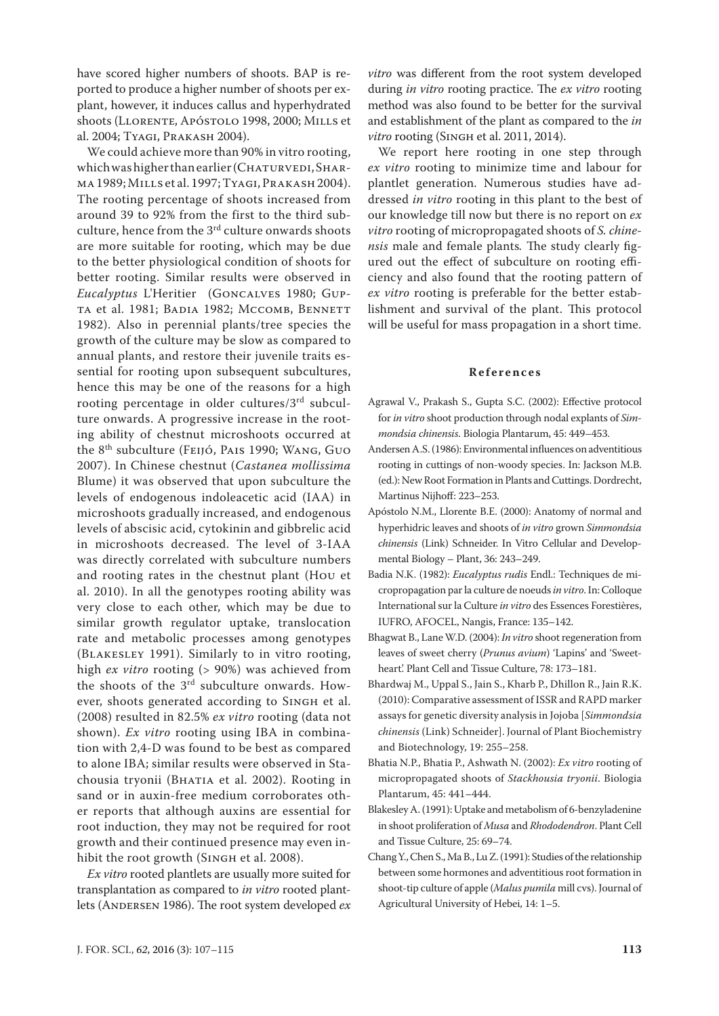have scored higher numbers of shoots. BAP is reported to produce a higher number of shoots per explant, however, it induces callus and hyperhydrated shoots (Llorente, Apóstolo 1998, 2000; Mills et al. 2004; Tyagi, Prakash 2004).

We could achieve more than 90% in vitro rooting, which was higher than earlier (CHATURVEDI, SHARma 1989; Mills et al. 1997; Tyagi, Prakash 2004). The rooting percentage of shoots increased from around 39 to 92% from the first to the third subculture, hence from the 3<sup>rd</sup> culture onwards shoots are more suitable for rooting, which may be due to the better physiological condition of shoots for better rooting. Similar results were observed in *Eucalyptus* L'Heritier (Goncalves 1980; Gupta et al. 1981; Badia 1982; Mccomb, Bennett 1982). Also in perennial plants/tree species the growth of the culture may be slow as compared to annual plants, and restore their juvenile traits essential for rooting upon subsequent subcultures, hence this may be one of the reasons for a high rooting percentage in older cultures/3rd subculture onwards. A progressive increase in the rooting ability of chestnut microshoots occurred at the 8th subculture (Feijó, Pais 1990; Wang, Guo 2007). In Chinese chestnut (*Castanea mollissima*  Blume) it was observed that upon subculture the levels of endogenous indoleacetic acid (IAA) in microshoots gradually increased, and endogenous levels of abscisic acid, cytokinin and gibbrelic acid in microshoots decreased. The level of 3-IAA was directly correlated with subculture numbers and rooting rates in the chestnut plant (Hou et al. 2010). In all the genotypes rooting ability was very close to each other, which may be due to similar growth regulator uptake, translocation rate and metabolic processes among genotypes (Blakesley 1991). Similarly to in vitro rooting, high *ex vitro* rooting (> 90%) was achieved from the shoots of the 3rd subculture onwards. However, shoots generated according to Singh et al. (2008) resulted in 82.5% *ex vitro* rooting (data not shown). *Ex vitro* rooting using IBA in combination with 2,4-D was found to be best as compared to alone IBA; similar results were observed in Stachousia tryonii (BHATIA et al. 2002). Rooting in sand or in auxin-free medium corroborates other reports that although auxins are essential for root induction, they may not be required for root growth and their continued presence may even inhibit the root growth (SINGH et al. 2008).

*Ex vitro* rooted plantlets are usually more suited for transplantation as compared to *in vitro* rooted plantlets (ANDERSEN 1986). The root system developed  $ex$  *vitro* was different from the root system developed during *in vitro* rooting practice. The *ex vitro* rooting method was also found to be better for the survival and establishment of the plant as compared to the *in vitro* rooting (Singh et al. 2011, 2014).

We report here rooting in one step through *ex vitro* rooting to minimize time and labour for plantlet generation. Numerous studies have addressed *in vitro* rooting in this plant to the best of our knowledge till now but there is no report on *ex vitro* rooting of micropropagated shoots of *S. chinensis* male and female plants*.* The study clearly figured out the effect of subculture on rooting efficiency and also found that the rooting pattern of *ex vitro* rooting is preferable for the better establishment and survival of the plant. This protocol will be useful for mass propagation in a short time.

#### **References**

- Agrawal V., Prakash S., Gupta S.C. (2002): Effective protocol for *in vitro* shoot production through nodal explants of *Simmondsia chinensis*. Biologia Plantarum, 45: 449–453.
- Andersen A.S. (1986): Environmental influences on adventitious rooting in cuttings of non-woody species. In: Jackson M.B. (ed.): New Root Formation in Plants and Cuttings. Dordrecht, Martinus Nijhoff: 223–253.
- Apóstolo N.M., Llorente B.E. (2000): Anatomy of normal and hyperhidric leaves and shoots of *in vitro* grown *Simmondsia chinensis* (Link) Schneider. In Vitro Cellular and Developmental Biology – Plant, 36: 243–249.
- Badia N.K. (1982): *Eucalyptus rudis* Endl.: Techniques de micropropagation par la culture de noeuds *in vitro*. In: Colloque International sur la Culture *in vitro* des Essences Forestières, IUFRO, AFOCEL, Nangis, France: 135–142.
- Bhagwat B., Lane W.D. (2004): *In vitro* shoot regeneration from leaves of sweet cherry (*Prunus avium*) 'Lapins' and 'Sweetheart'. Plant Cell and Tissue Culture, 78: 173–181.
- Bhardwaj M., Uppal S., Jain S., Kharb P., Dhillon R., Jain R.K. (2010): Comparative assessment of ISSR and RAPD marker assays for genetic diversity analysis in Jojoba [*Simmondsia chinensis* (Link) Schneider]. Journal of Plant Biochemistry and Biotechnology, 19: 255–258.
- Bhatia N.P., Bhatia P., Ashwath N. (2002): *Ex vitro* rooting of micropropagated shoots of *Stackhousia tryonii*. Biologia Plantarum, 45: 441–444.
- Blakesley A. (1991): Uptake and metabolism of 6-benzyladenine in shoot proliferation of *Musa* and *Rhododendron*. Plant Cell and Tissue Culture, 25: 69–74.
- Chang Y., Chen S., Ma B., Lu Z. (1991): Studies of the relationship between some hormones and adventitious root formation in shoot-tip culture of apple (*Malus pumila* mill cvs). Journal of Agricultural University of Hebei, 14: 1–5.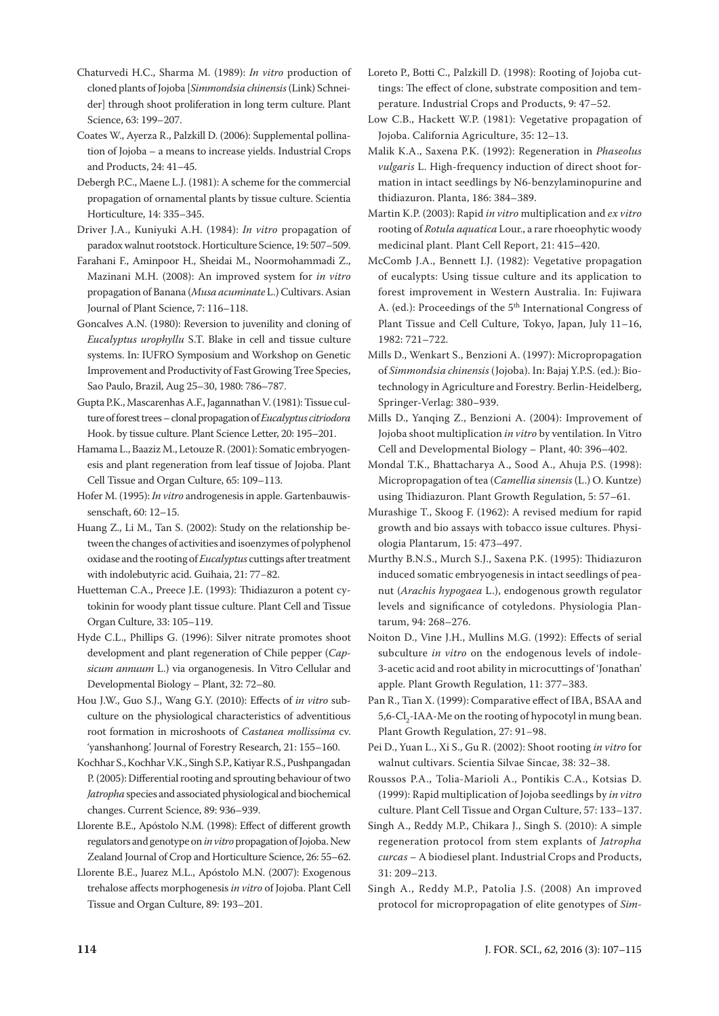- Chaturvedi H.C., Sharma M. (1989): *In vitro* production of cloned plants of Jojoba [*Simmondsia chinensis* (Link) Schneider] through shoot proliferation in long term culture. Plant Science, 63: 199–207.
- Coates W., Ayerza R., Palzkill D. (2006): Supplemental pollination of Jojoba – a means to increase yields. Industrial Crops and Products, 24: 41–45.
- Debergh P.C., Maene L.J. (1981): A scheme for the commercial propagation of ornamental plants by tissue culture. Scientia Horticulture, 14: 335–345.
- Driver J.A., Kuniyuki A.H. (1984): *In vitro* propagation of paradox walnut rootstock. Horticulture Science, 19: 507–509.
- Farahani F., Aminpoor H., Sheidai M., Noormohammadi Z., Mazinani M.H. (2008): An improved system for *in vitro* propagation of Banana (*Musa acuminate* L.) Cultivars. Asian Journal of Plant Science, 7: 116–118.
- Goncalves A.N. (1980): Reversion to juvenility and cloning of *Eucalyptus urophyllu* S.T. Blake in cell and tissue culture systems. In: IUFRO Symposium and Workshop on Genetic Improvement and Productivity of Fast Growing Tree Species, Sao Paulo, Brazil, Aug 25–30, 1980: 786–787.
- Gupta P.K., Mascarenhas A.F., Jagannathan V. (1981): Tissue culture of forest trees – clonal propagation of *Eucalyptus citriodora* Hook. by tissue culture. Plant Science Letter, 20: 195–201.
- Hamama L., Baaziz M., Letouze R. (2001): Somatic embryogenesis and plant regeneration from leaf tissue of Jojoba. Plant Cell Tissue and Organ Culture, 65: 109–113.
- Hofer M. (1995): *In vitro* androgenesis in apple. Gartenbauwissenschaft, 60: 12–15.
- Huang Z., Li M., Tan S. (2002): Study on the relationship between the changes of activities and isoenzymes of polyphenol oxidase and the rooting of *Eucalyptus* cuttings after treatment with indolebutyric acid. Guihaia, 21: 77−82.
- Huetteman C.A., Preece J.E. (1993): Thidiazuron a potent cytokinin for woody plant tissue culture. Plant Cell and Tissue Organ Culture, 33: 105–119.
- Hyde C.L., Phillips G. (1996): Silver nitrate promotes shoot development and plant regeneration of Chile pepper (*Capsicum annuum* L.) via organogenesis. In Vitro Cellular and Developmental Biology – Plant, 32: 72–80.
- Hou J.W., Guo S.J., Wang G.Y. (2010): Effects of *in vitro* subculture on the physiological characteristics of adventitious root formation in microshoots of *Castanea mollissima* cv. 'yanshanhong'. Journal of Forestry Research, 21: 155–160.
- Kochhar S., Kochhar V.K., Singh S.P., Katiyar R.S., Pushpangadan P. (2005): Differential rooting and sprouting behaviour of two *Jatropha* species and associated physiological and biochemical changes. Current Science, 89: 936–939.
- Llorente B.E., Apóstolo N.M. (1998): Effect of different growth regulators and genotype on *in vitro* propagation of Jojoba. New Zealand Journal of Crop and Horticulture Science, 26: 55–62.
- Llorente B.E., Juarez M.L., Apóstolo M.N. (2007): Exogenous trehalose affects morphogenesis *in vitro* of Jojoba. Plant Cell Tissue and Organ Culture, 89: 193–201.
- Loreto P., Botti C., Palzkill D. (1998): Rooting of Jojoba cuttings: The effect of clone, substrate composition and temperature. Industrial Crops and Products, 9: 47–52.
- Low C.B., Hackett W.P. (1981): Vegetative propagation of Jojoba. California Agriculture, 35: 12–13.
- Malik K.A., Saxena P.K. (1992): Regeneration in *Phaseolus vulgaris* L. High-frequency induction of direct shoot formation in intact seedlings by N6-benzylaminopurine and thidiazuron. Planta, 186: 384–389.
- Martin K.P. (2003): Rapid *in vitro* multiplication and *ex vitro* rooting of *Rotula aquatica* Lour., a rare rhoeophytic woody medicinal plant. Plant Cell Report, 21: 415–420.
- McComb J.A., Bennett I.J. (1982): Vegetative propagation of eucalypts: Using tissue culture and its application to forest improvement in Western Australia. In: Fujiwara A. (ed.): Proceedings of the 5th International Congress of Plant Tissue and Cell Culture, Tokyo, Japan, July 11–16, 1982: 721–722.
- Mills D., Wenkart S., Benzioni A. (1997): Micropropagation of *Simmondsia chinensis* (Jojoba). In: Bajaj Y.P.S. (ed.): Biotechnology in Agriculture and Forestry. Berlin-Heidelberg, Springer-Verlag: 380–939.
- Mills D., Yanqing Z., Benzioni A. (2004): Improvement of Jojoba shoot multiplication *in vitro* by ventilation. In Vitro Cell and Developmental Biology – Plant, 40: 396–402.
- Mondal T.K., Bhattacharya A., Sood A., Ahuja P.S. (1998): Micropropagation of tea (*Camellia sinensis* (L.) O. Kuntze) using Thidiazuron. Plant Growth Regulation, 5: 57–61.
- Murashige T., Skoog F. (1962): A revised medium for rapid growth and bio assays with tobacco issue cultures. Physiologia Plantarum, 15: 473–497.
- Murthy B.N.S., Murch S.J., Saxena P.K. (1995): Thidiazuron induced somatic embryogenesis in intact seedlings of peanut (*Arachis hypogaea* L.), endogenous growth regulator levels and significance of cotyledons. Physiologia Plantarum, 94: 268–276.
- Noiton D., Vine J.H., Mullins M.G. (1992): Effects of serial subculture *in vitro* on the endogenous levels of indole-3-acetic acid and root ability in microcuttings of 'Jonathan' apple. Plant Growth Regulation, 11: 377–383.
- Pan R., Tian X. (1999): Comparative effect of IBA, BSAA and 5,6-Cl<sub>2</sub>-IAA-Me on the rooting of hypocotyl in mung bean. Plant Growth Regulation, 27: 91−98.
- Pei D., Yuan L., Xi S., Gu R. (2002): Shoot rooting *in vitro* for walnut cultivars. Scientia Silvae Sincae, 38: 32–38.
- Roussos P.A., Tolia-Marioli A., Pontikis C.A., Kotsias D. (1999): Rapid multiplication of Jojoba seedlings by *in vitro* culture. Plant Cell Tissue and Organ Culture, 57: 133–137.
- Singh A., Reddy M.P., Chikara J., Singh S. (2010): A simple regeneration protocol from stem explants of *Jatropha curcas* – A biodiesel plant. Industrial Crops and Products, 31: 209–213.
- Singh A., Reddy M.P., Patolia J.S. (2008) An improved protocol for micropropagation of elite genotypes of *Sim-*